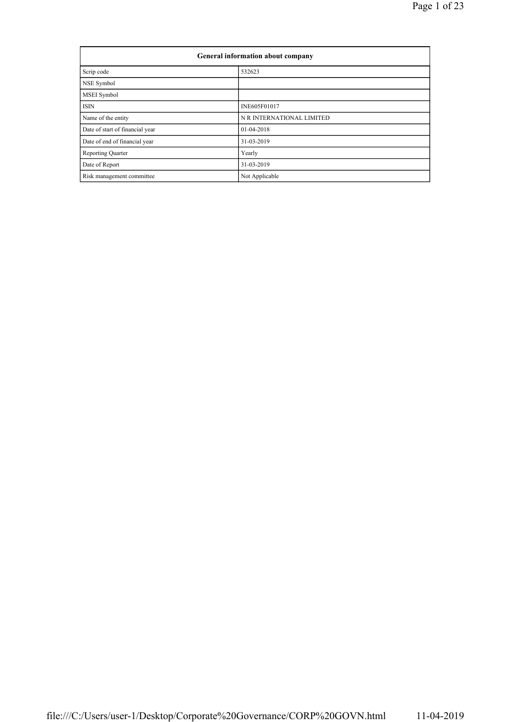| General information about company |                           |  |  |  |  |  |
|-----------------------------------|---------------------------|--|--|--|--|--|
| Scrip code                        | 532623                    |  |  |  |  |  |
| NSE Symbol                        |                           |  |  |  |  |  |
| MSEI Symbol                       |                           |  |  |  |  |  |
| <b>ISIN</b>                       | INE605F01017              |  |  |  |  |  |
| Name of the entity                | N R INTERNATIONAL LIMITED |  |  |  |  |  |
| Date of start of financial year   | 01-04-2018                |  |  |  |  |  |
| Date of end of financial year     | 31-03-2019                |  |  |  |  |  |
| <b>Reporting Quarter</b>          | Yearly                    |  |  |  |  |  |
| Date of Report                    | 31-03-2019                |  |  |  |  |  |
| Risk management committee         | Not Applicable            |  |  |  |  |  |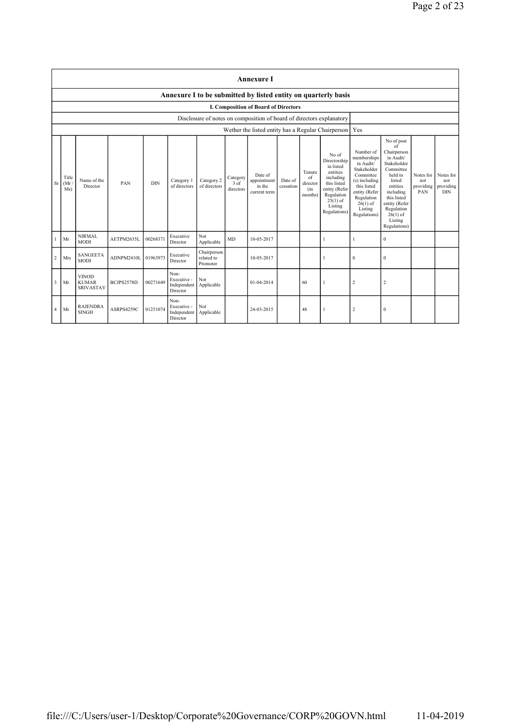|                | <b>Annexure I</b>                                              |                                                  |            |            |                                                |                                       |                                 |                                                                      |                      |                                            |                                                                                                                                                    |                                                                                                                                                                             |                                                                                                                                                                                                               |                                      |                                             |
|----------------|----------------------------------------------------------------|--------------------------------------------------|------------|------------|------------------------------------------------|---------------------------------------|---------------------------------|----------------------------------------------------------------------|----------------------|--------------------------------------------|----------------------------------------------------------------------------------------------------------------------------------------------------|-----------------------------------------------------------------------------------------------------------------------------------------------------------------------------|---------------------------------------------------------------------------------------------------------------------------------------------------------------------------------------------------------------|--------------------------------------|---------------------------------------------|
|                | Annexure I to be submitted by listed entity on quarterly basis |                                                  |            |            |                                                |                                       |                                 |                                                                      |                      |                                            |                                                                                                                                                    |                                                                                                                                                                             |                                                                                                                                                                                                               |                                      |                                             |
|                | I. Composition of Board of Directors                           |                                                  |            |            |                                                |                                       |                                 |                                                                      |                      |                                            |                                                                                                                                                    |                                                                                                                                                                             |                                                                                                                                                                                                               |                                      |                                             |
|                |                                                                |                                                  |            |            |                                                |                                       |                                 | Disclosure of notes on composition of board of directors explanatory |                      |                                            |                                                                                                                                                    |                                                                                                                                                                             |                                                                                                                                                                                                               |                                      |                                             |
|                |                                                                |                                                  |            |            |                                                |                                       |                                 | Wether the listed entity has a Regular Chairperson                   |                      |                                            |                                                                                                                                                    | Yes                                                                                                                                                                         |                                                                                                                                                                                                               |                                      |                                             |
| <b>Sr</b>      | Title<br>(Mr)<br>Ms)                                           | Name of the<br>Director                          | PAN        | <b>DIN</b> | Category 1<br>of directors                     | Category 2<br>of directors            | Category<br>$3$ of<br>directors | Date of<br>appointment<br>in the<br>current term                     | Date of<br>cessation | Tenure<br>of<br>director<br>(in<br>months) | No of<br>Directorship<br>in listed<br>entities<br>including<br>this listed<br>entity (Refer<br>Regulation<br>$25(1)$ of<br>Listing<br>Regulations) | Number of<br>memberships<br>in Audit/<br>Stakeholder<br>Committee<br>$(s)$ including<br>this listed<br>entity (Refer<br>Regulation<br>$26(1)$ of<br>Listing<br>Regulations) | No of post<br>of<br>Chairperson<br>in Audit/<br>Stakeholder<br>Committee<br>held in<br>listed<br>entities<br>including<br>this listed<br>entity (Refer<br>Regulation<br>$26(1)$ of<br>Listing<br>Regulations) | Notes for<br>not<br>providing<br>PAN | Notes for<br>not<br>providing<br><b>DIN</b> |
|                | Mr                                                             | <b>NIRMAL</b><br><b>MODI</b>                     | AETPM2635L | 00268371   | Executive<br>Director                          | Not<br>Applicable                     | <b>MD</b>                       | 10-05-2017                                                           |                      |                                            | 1                                                                                                                                                  | 1                                                                                                                                                                           | $\mathbf{0}$                                                                                                                                                                                                  |                                      |                                             |
| $\overline{c}$ | Mrs                                                            | <b>SANGEETA</b><br><b>MODI</b>                   | ADNPM2410L | 01963973   | Executive<br>Director                          | Chairperson<br>related to<br>Promoter |                                 | 10-05-2017                                                           |                      |                                            |                                                                                                                                                    | $\bf{0}$                                                                                                                                                                    | $\mathbf{0}$                                                                                                                                                                                                  |                                      |                                             |
| 3              | Mr                                                             | <b>VINOD</b><br><b>KUMAR</b><br><b>SRIVASTAV</b> | BCJPS2578D | 00271649   | Non-<br>Executive -<br>Independent<br>Director | Not<br>Applicable                     |                                 | 01-04-2014                                                           |                      | 60                                         | -1                                                                                                                                                 | $\overline{c}$                                                                                                                                                              | $\overline{2}$                                                                                                                                                                                                |                                      |                                             |
| $\overline{4}$ | Mr                                                             | <b>RAJENDRA</b><br><b>SINGH</b>                  | ASRPS4259C | 01251074   | Non-<br>Executive -<br>Independent<br>Director | Not<br>Applicable                     |                                 | 24-03-2015                                                           |                      | 48                                         | -1                                                                                                                                                 | $\overline{c}$                                                                                                                                                              | $\boldsymbol{0}$                                                                                                                                                                                              |                                      |                                             |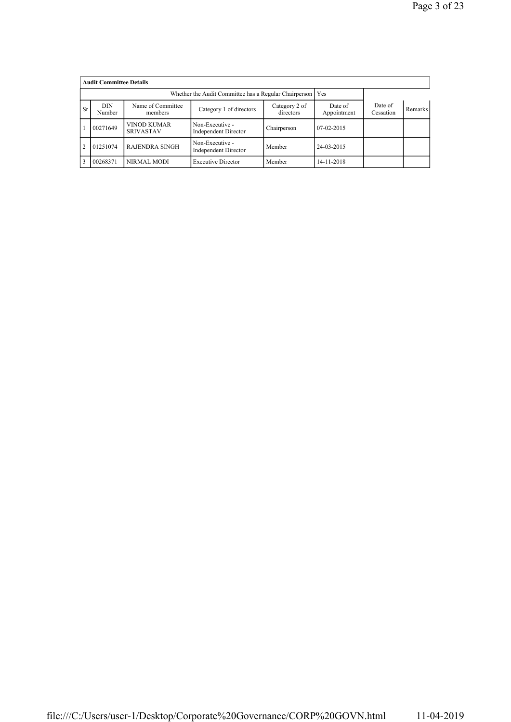|                | <b>Audit Committee Details</b> |                                        |                                                |                            |                        |                      |         |  |  |  |  |
|----------------|--------------------------------|----------------------------------------|------------------------------------------------|----------------------------|------------------------|----------------------|---------|--|--|--|--|
|                |                                |                                        |                                                |                            |                        |                      |         |  |  |  |  |
| <b>Sr</b>      | <b>DIN</b><br>Number           | Name of Committee<br>members           | Category 1 of directors                        | Category 2 of<br>directors | Date of<br>Appointment | Date of<br>Cessation | Remarks |  |  |  |  |
|                | 00271649                       | <b>VINOD KUMAR</b><br><b>SRIVASTAV</b> | Non-Executive -<br><b>Independent Director</b> | Chairperson                | 07-02-2015             |                      |         |  |  |  |  |
| $\overline{2}$ | 01251074                       | <b>RAJENDRA SINGH</b>                  | Non-Executive -<br><b>Independent Director</b> | Member                     | 24-03-2015             |                      |         |  |  |  |  |
| $\overline{3}$ | 00268371                       | NIRMAL MODI                            | <b>Executive Director</b>                      | Member                     | 14-11-2018             |                      |         |  |  |  |  |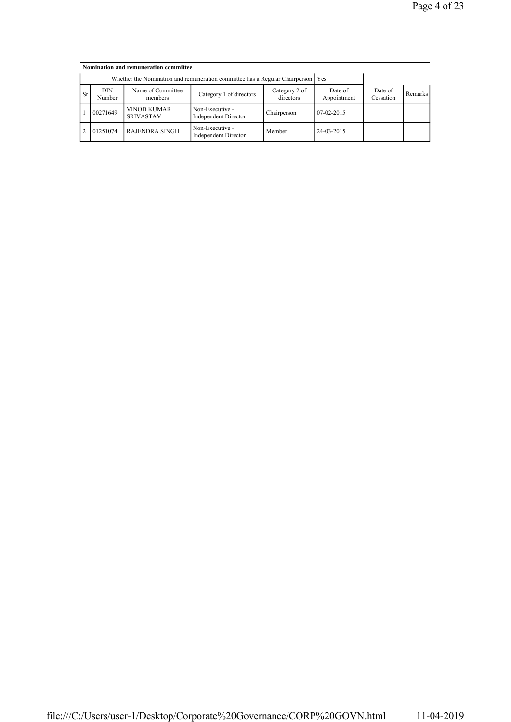|           | Nomination and remuneration committee |                                                                                   |                                                |                            |                        |                      |                |  |  |  |  |
|-----------|---------------------------------------|-----------------------------------------------------------------------------------|------------------------------------------------|----------------------------|------------------------|----------------------|----------------|--|--|--|--|
|           |                                       | Whether the Nomination and remuneration committee has a Regular Chairperson   Yes |                                                |                            |                        |                      |                |  |  |  |  |
| <b>Sr</b> | DIN<br>Number                         | Name of Committee<br>members                                                      | Category 1 of directors                        | Category 2 of<br>directors | Date of<br>Appointment | Date of<br>Cessation | <b>Remarks</b> |  |  |  |  |
|           | 00271649                              | <b>VINOD KUMAR</b><br><b>SRIVASTAV</b>                                            | Non-Executive -<br><b>Independent Director</b> | Chairperson                | 07-02-2015             |                      |                |  |  |  |  |
| 2         | 01251074                              | <b>RAJENDRA SINGH</b>                                                             | Non-Executive -<br><b>Independent Director</b> | Member                     | 24-03-2015             |                      |                |  |  |  |  |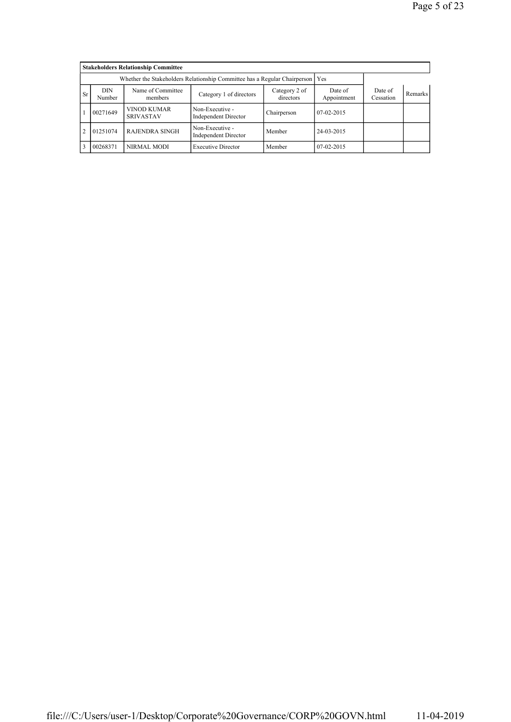|                | <b>Stakeholders Relationship Committee</b>                                    |                                        |                                                |                            |                        |                      |         |  |  |  |  |
|----------------|-------------------------------------------------------------------------------|----------------------------------------|------------------------------------------------|----------------------------|------------------------|----------------------|---------|--|--|--|--|
|                | Whether the Stakeholders Relationship Committee has a Regular Chairperson Yes |                                        |                                                |                            |                        |                      |         |  |  |  |  |
| <b>Sr</b>      | <b>DIN</b><br>Number                                                          | Name of Committee<br>members           | Category 1 of directors                        | Category 2 of<br>directors | Date of<br>Appointment | Date of<br>Cessation | Remarks |  |  |  |  |
|                | 00271649                                                                      | <b>VINOD KUMAR</b><br><b>SRIVASTAV</b> | Non-Executive -<br><b>Independent Director</b> | Chairperson                | 07-02-2015             |                      |         |  |  |  |  |
| $\overline{2}$ | 01251074                                                                      | <b>RAJENDRA SINGH</b>                  | Non-Executive -<br><b>Independent Director</b> | Member                     | 24-03-2015             |                      |         |  |  |  |  |
| $\overline{3}$ | 00268371                                                                      | NIRMAL MODI                            | <b>Executive Director</b>                      | Member                     | 07-02-2015             |                      |         |  |  |  |  |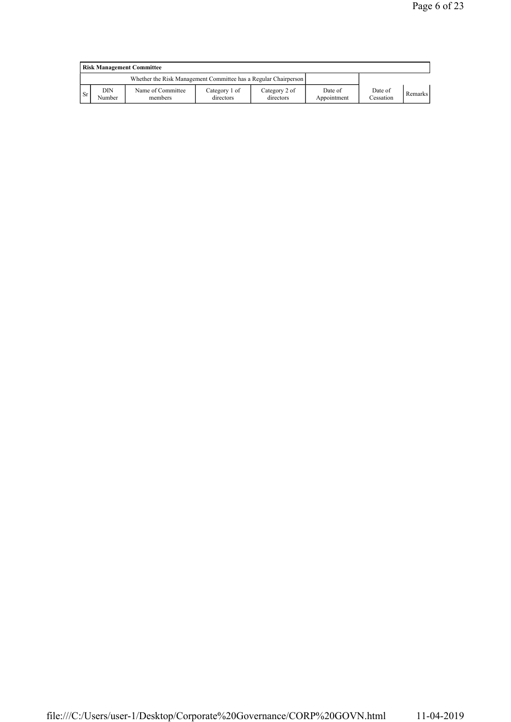|      | <b>Risk Management Committee</b> |                                                                 |                            |                            |                        |                      |         |  |  |  |  |
|------|----------------------------------|-----------------------------------------------------------------|----------------------------|----------------------------|------------------------|----------------------|---------|--|--|--|--|
|      |                                  | Whether the Risk Management Committee has a Regular Chairperson |                            |                            |                        |                      |         |  |  |  |  |
| ∣ Sr | DIN<br>Number                    | Name of Committee<br>members                                    | Category 1 of<br>directors | Category 2 of<br>directors | Date of<br>Appointment | Date of<br>Cessation | Remarks |  |  |  |  |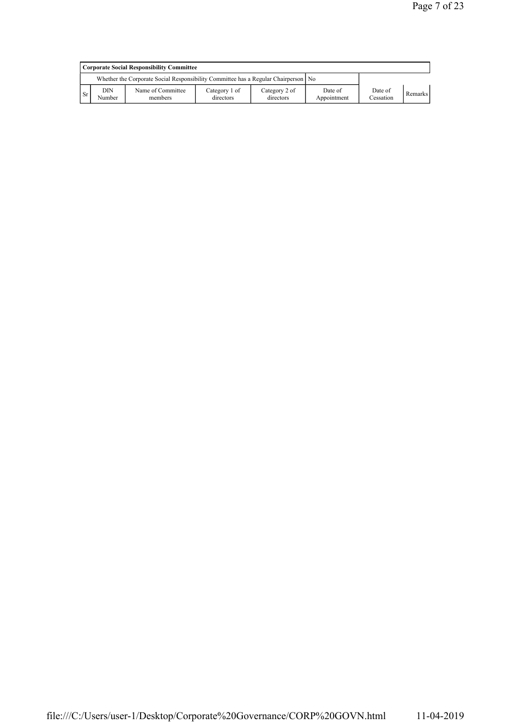|     | Corporate Social Responsibility Committee |                                                                                    |                            |                            |                        |                      |         |  |  |  |
|-----|-------------------------------------------|------------------------------------------------------------------------------------|----------------------------|----------------------------|------------------------|----------------------|---------|--|--|--|
|     |                                           | Whether the Corporate Social Responsibility Committee has a Regular Chairperson No |                            |                            |                        |                      |         |  |  |  |
| -Sr | DIN<br>Number                             | Name of Committee<br>members                                                       | Category 1 of<br>directors | Category 2 of<br>directors | Date of<br>Appointment | Date of<br>Cessation | Remarks |  |  |  |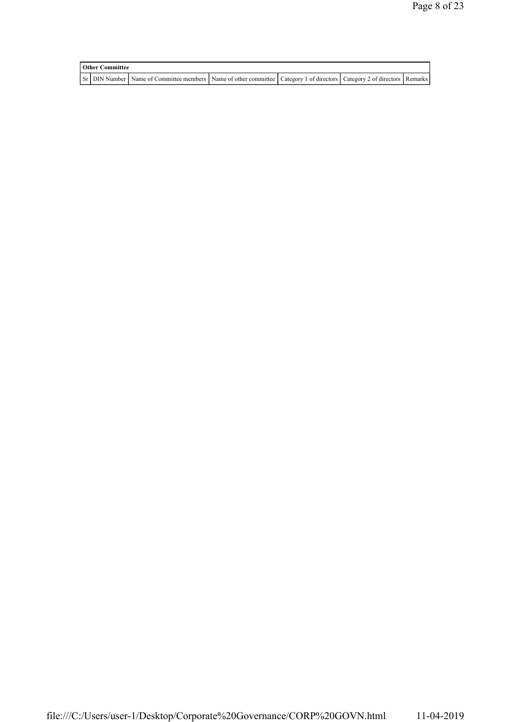| <b>Other Committee</b> |                                                                                                                         |  |  |
|------------------------|-------------------------------------------------------------------------------------------------------------------------|--|--|
|                        | Sr DIN Number Name of Committee members Name of other committee Category 1 of directors Category 2 of directors Remarks |  |  |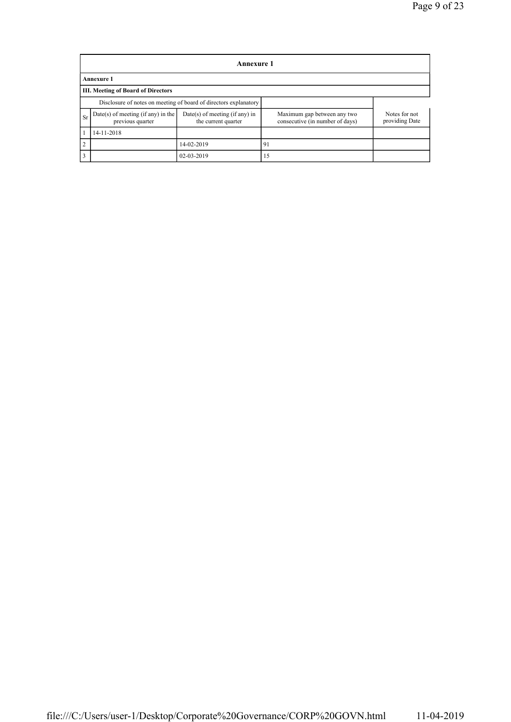|    | <b>Annexure 1</b>                                                |                                                       |                                                                                                   |  |  |  |  |  |  |
|----|------------------------------------------------------------------|-------------------------------------------------------|---------------------------------------------------------------------------------------------------|--|--|--|--|--|--|
|    | <b>Annexure 1</b>                                                |                                                       |                                                                                                   |  |  |  |  |  |  |
|    | <b>III. Meeting of Board of Directors</b>                        |                                                       |                                                                                                   |  |  |  |  |  |  |
|    | Disclosure of notes on meeting of board of directors explanatory |                                                       |                                                                                                   |  |  |  |  |  |  |
| Sr | Date(s) of meeting (if any) in the<br>previous quarter           | Date(s) of meeting (if any) in<br>the current quarter | Maximum gap between any two<br>Notes for not<br>consecutive (in number of days)<br>providing Date |  |  |  |  |  |  |
|    | 14-11-2018                                                       |                                                       |                                                                                                   |  |  |  |  |  |  |
| 2  |                                                                  | 14-02-2019                                            | 91                                                                                                |  |  |  |  |  |  |
| 3  |                                                                  | 02-03-2019                                            | 15                                                                                                |  |  |  |  |  |  |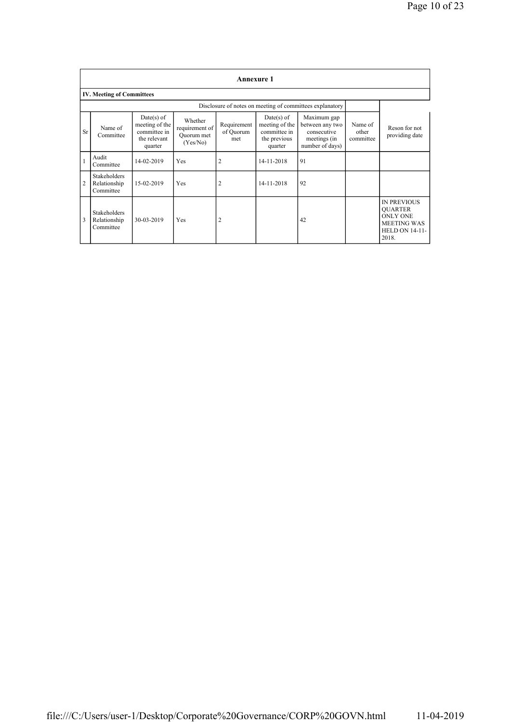|                | <b>Annexure 1</b>                                |                                                                           |                                                     |                                 |                                                                           |                                                                                  |                               |                                                                                                                 |  |  |  |  |
|----------------|--------------------------------------------------|---------------------------------------------------------------------------|-----------------------------------------------------|---------------------------------|---------------------------------------------------------------------------|----------------------------------------------------------------------------------|-------------------------------|-----------------------------------------------------------------------------------------------------------------|--|--|--|--|
|                | <b>IV. Meeting of Committees</b>                 |                                                                           |                                                     |                                 |                                                                           |                                                                                  |                               |                                                                                                                 |  |  |  |  |
|                |                                                  |                                                                           |                                                     |                                 |                                                                           |                                                                                  |                               |                                                                                                                 |  |  |  |  |
| Sr             | Name of<br>Committee                             | $Date(s)$ of<br>meeting of the<br>committee in<br>the relevant<br>quarter | Whether<br>requirement of<br>Quorum met<br>(Yes/No) | Requirement<br>of Quorum<br>met | $Date(s)$ of<br>meeting of the<br>committee in<br>the previous<br>quarter | Maximum gap<br>between any two<br>consecutive<br>meetings (in<br>number of days) | Name of<br>other<br>committee | Reson for not<br>providing date                                                                                 |  |  |  |  |
| $\mathbf{1}$   | Audit<br>Committee                               | 14-02-2019                                                                | Yes                                                 | 2                               | 14-11-2018                                                                | 91                                                                               |                               |                                                                                                                 |  |  |  |  |
| $\overline{2}$ | <b>Stakeholders</b><br>Relationship<br>Committee | 15-02-2019                                                                | Yes                                                 | 2                               | 14-11-2018                                                                | 92                                                                               |                               |                                                                                                                 |  |  |  |  |
| 3              | <b>Stakeholders</b><br>Relationship<br>Committee | 30-03-2019                                                                | Yes                                                 | 2                               |                                                                           | 42                                                                               |                               | <b>IN PREVIOUS</b><br><b>OUARTER</b><br><b>ONLY ONE</b><br><b>MEETING WAS</b><br><b>HELD ON 14-11-</b><br>2018. |  |  |  |  |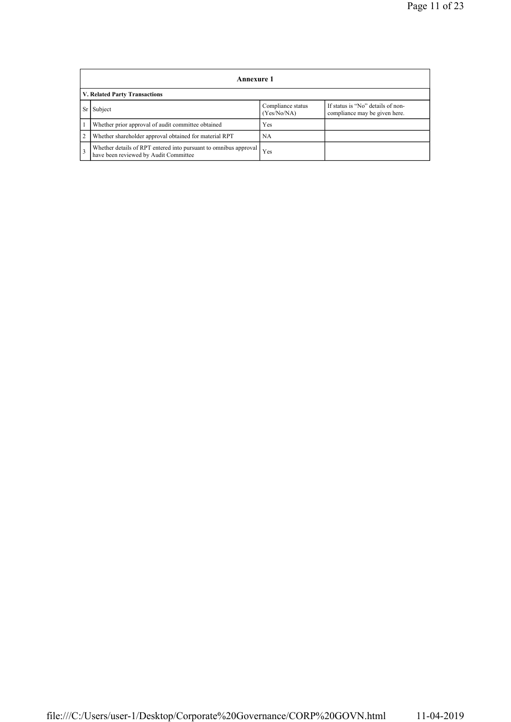|                | <b>Annexure 1</b>                                                                                         |                                  |                                                                    |  |  |  |  |
|----------------|-----------------------------------------------------------------------------------------------------------|----------------------------------|--------------------------------------------------------------------|--|--|--|--|
|                | V. Related Party Transactions                                                                             |                                  |                                                                    |  |  |  |  |
|                | Sr Subject                                                                                                | Compliance status<br>(Yes/No/NA) | If status is "No" details of non-<br>compliance may be given here. |  |  |  |  |
|                | Whether prior approval of audit committee obtained                                                        | Yes                              |                                                                    |  |  |  |  |
| $\overline{2}$ | Whether shareholder approval obtained for material RPT                                                    | NA                               |                                                                    |  |  |  |  |
| $\overline{3}$ | Whether details of RPT entered into pursuant to omnibus approval<br>have been reviewed by Audit Committee | Yes                              |                                                                    |  |  |  |  |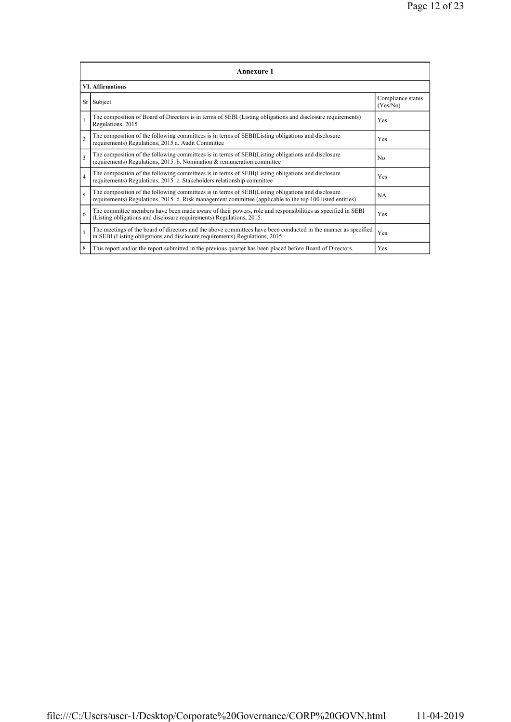|                | <b>Annexure 1</b>                                                                                                                                                                                               |                               |  |  |  |  |  |  |
|----------------|-----------------------------------------------------------------------------------------------------------------------------------------------------------------------------------------------------------------|-------------------------------|--|--|--|--|--|--|
|                | <b>VI. Affirmations</b>                                                                                                                                                                                         |                               |  |  |  |  |  |  |
|                | Sr Subject                                                                                                                                                                                                      | Compliance status<br>(Yes/No) |  |  |  |  |  |  |
| $\mathbf{1}$   | The composition of Board of Directors is in terms of SEBI (Listing obligations and disclosure requirements)<br>Regulations, 2015                                                                                | Yes                           |  |  |  |  |  |  |
| $\overline{c}$ | The composition of the following committees is in terms of SEBI(Listing obligations and disclosure<br>requirements) Regulations, 2015 a. Audit Committee                                                        | Yes                           |  |  |  |  |  |  |
| $\mathbf{3}$   | The composition of the following committees is in terms of SEBI(Listing obligations and disclosure<br>requirements) Regulations, 2015. b. Nomination & remuneration committee                                   | N <sub>0</sub>                |  |  |  |  |  |  |
| $\overline{4}$ | The composition of the following committees is in terms of SEBI(Listing obligations and disclosure<br>requirements) Regulations, 2015. c. Stakeholders relationship committee                                   | Yes                           |  |  |  |  |  |  |
| 5              | The composition of the following committees is in terms of SEBI(Listing obligations and disclosure<br>requirements) Regulations, 2015. d. Risk management committee (applicable to the top 100 listed entities) | <b>NA</b>                     |  |  |  |  |  |  |
| 6              | The committee members have been made aware of their powers, role and responsibilities as specified in SEBI<br>(Listing obligations and disclosure requirements) Regulations, 2015.                              | Yes                           |  |  |  |  |  |  |
| $\overline{7}$ | The meetings of the board of directors and the above committees have been conducted in the manner as specified<br>in SEBI (Listing obligations and disclosure requirements) Regulations, 2015.                  | Yes                           |  |  |  |  |  |  |
| 8              | This report and/or the report submitted in the previous quarter has been placed before Board of Directors.                                                                                                      | Yes                           |  |  |  |  |  |  |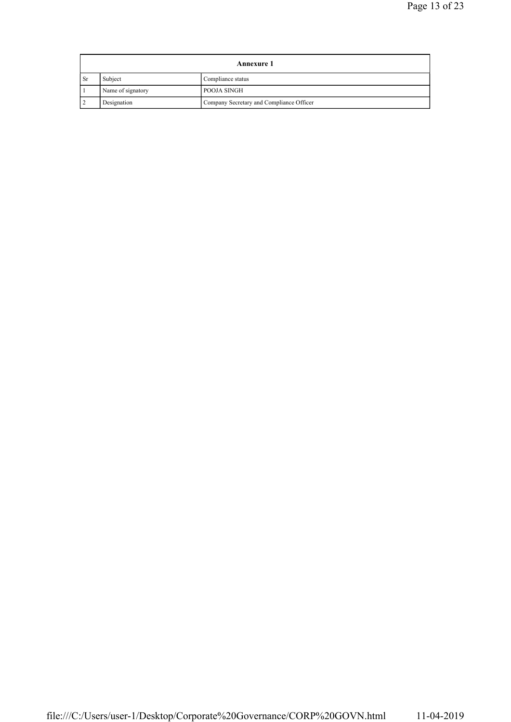| <b>Annexure 1</b> |                              |                                          |  |
|-------------------|------------------------------|------------------------------------------|--|
| ∣ Sr              | Subject<br>Compliance status |                                          |  |
|                   | Name of signatory            | <b>POOJA SINGH</b>                       |  |
|                   | Designation                  | Company Secretary and Compliance Officer |  |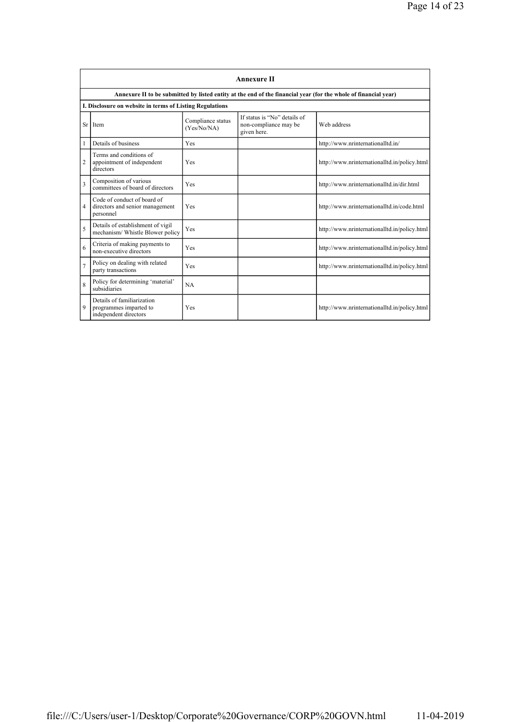|                | <b>Annexure II</b>                                                            |                                  |                                                                      |                                                                                                                 |  |
|----------------|-------------------------------------------------------------------------------|----------------------------------|----------------------------------------------------------------------|-----------------------------------------------------------------------------------------------------------------|--|
|                |                                                                               |                                  |                                                                      | Annexure II to be submitted by listed entity at the end of the financial year (for the whole of financial year) |  |
|                | I. Disclosure on website in terms of Listing Regulations                      |                                  |                                                                      |                                                                                                                 |  |
|                | Sr Item                                                                       | Compliance status<br>(Yes/No/NA) | If status is "No" details of<br>non-compliance may be<br>given here. | Web address                                                                                                     |  |
| 1              | Details of business                                                           | Yes                              |                                                                      | http://www.nrinternationalltd.in/                                                                               |  |
| $\overline{2}$ | Terms and conditions of<br>appointment of independent<br>directors            | Yes                              |                                                                      | http://www.nrinternationalltd.in/policy.html                                                                    |  |
| 3              | Composition of various<br>committees of board of directors                    | Yes                              |                                                                      | http://www.nrinternationalltd.in/dir.html                                                                       |  |
| 4              | Code of conduct of board of<br>directors and senior management<br>personnel   | Yes                              |                                                                      | http://www.nrinternationalltd.in/code.html                                                                      |  |
| 5              | Details of establishment of vigil<br>mechanism/ Whistle Blower policy         | Yes                              |                                                                      | http://www.nrinternationalltd.in/policy.html                                                                    |  |
| 6              | Criteria of making payments to<br>non-executive directors                     | Yes                              |                                                                      | http://www.nrinternationalltd.in/policy.html                                                                    |  |
| $\overline{7}$ | Policy on dealing with related<br>party transactions                          | Yes                              |                                                                      | http://www.nrinternationalltd.in/policy.html                                                                    |  |
| 8              | Policy for determining 'material'<br>subsidiaries                             | NA.                              |                                                                      |                                                                                                                 |  |
| 9              | Details of familiarization<br>programmes imparted to<br>independent directors | Yes                              |                                                                      | http://www.nrinternationalltd.in/policy.html                                                                    |  |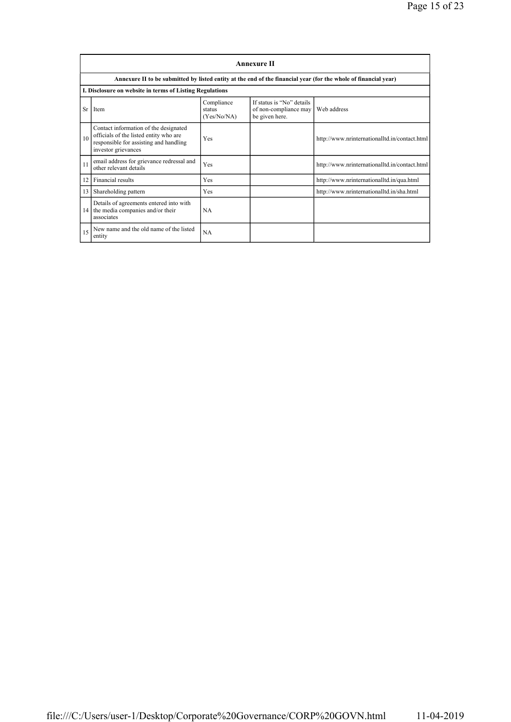|    | <b>Annexure II</b>                                                                                                                               |                                     |                                                                      |                                               |  |
|----|--------------------------------------------------------------------------------------------------------------------------------------------------|-------------------------------------|----------------------------------------------------------------------|-----------------------------------------------|--|
|    | Annexure II to be submitted by listed entity at the end of the financial year (for the whole of financial year)                                  |                                     |                                                                      |                                               |  |
|    | I. Disclosure on website in terms of Listing Regulations                                                                                         |                                     |                                                                      |                                               |  |
| Sr | Item                                                                                                                                             | Compliance<br>status<br>(Yes/No/NA) | If status is "No" details<br>of non-compliance may<br>be given here. | Web address                                   |  |
| 10 | Contact information of the designated<br>officials of the listed entity who are<br>responsible for assisting and handling<br>investor grievances | Yes                                 |                                                                      | http://www.nrinternationalltd.in/contact.html |  |
| 11 | email address for grievance redressal and<br>other relevant details                                                                              | Yes                                 |                                                                      | http://www.nrinternationalltd.in/contact.html |  |
| 12 | Financial results                                                                                                                                | Yes                                 |                                                                      | http://www.nrinternationalltd.in/qua.html     |  |
| 13 | Shareholding pattern                                                                                                                             | Yes                                 |                                                                      | http://www.nrinternationalltd.in/sha.html     |  |
| 14 | Details of agreements entered into with<br>the media companies and/or their<br>associates                                                        | <b>NA</b>                           |                                                                      |                                               |  |
| 15 | New name and the old name of the listed<br>entity                                                                                                | <b>NA</b>                           |                                                                      |                                               |  |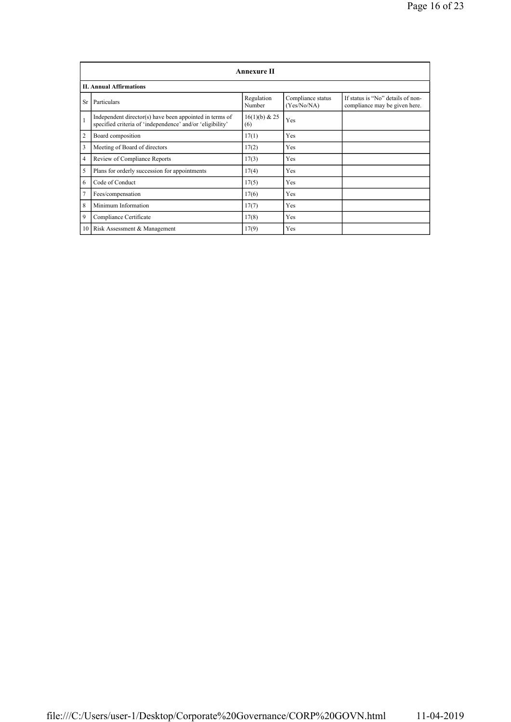|                | <b>Annexure II</b>                                                                                                   |                      |                                  |                                                                    |  |  |
|----------------|----------------------------------------------------------------------------------------------------------------------|----------------------|----------------------------------|--------------------------------------------------------------------|--|--|
|                | <b>II. Annual Affirmations</b>                                                                                       |                      |                                  |                                                                    |  |  |
| Sr             | Particulars                                                                                                          | Regulation<br>Number | Compliance status<br>(Yes/No/NA) | If status is "No" details of non-<br>compliance may be given here. |  |  |
| $\mathbf{1}$   | Independent director(s) have been appointed in terms of<br>specified criteria of 'independence' and/or 'eligibility' | 16(1)(b) & 25<br>(6) | Yes                              |                                                                    |  |  |
| 2              | Board composition                                                                                                    | 17(1)                | Yes                              |                                                                    |  |  |
| 3              | Meeting of Board of directors                                                                                        | 17(2)                | Yes                              |                                                                    |  |  |
| $\overline{4}$ | Review of Compliance Reports                                                                                         | 17(3)                | Yes                              |                                                                    |  |  |
| 5              | Plans for orderly succession for appointments                                                                        | 17(4)                | Yes                              |                                                                    |  |  |
| 6              | Code of Conduct                                                                                                      | 17(5)                | Yes                              |                                                                    |  |  |
| $\overline{7}$ | Fees/compensation                                                                                                    | 17(6)                | Yes                              |                                                                    |  |  |
| 8              | Minimum Information                                                                                                  | 17(7)                | Yes                              |                                                                    |  |  |
| 9              | Compliance Certificate                                                                                               | 17(8)                | Yes                              |                                                                    |  |  |
|                | 10 Risk Assessment & Management                                                                                      | 17(9)                | Yes                              |                                                                    |  |  |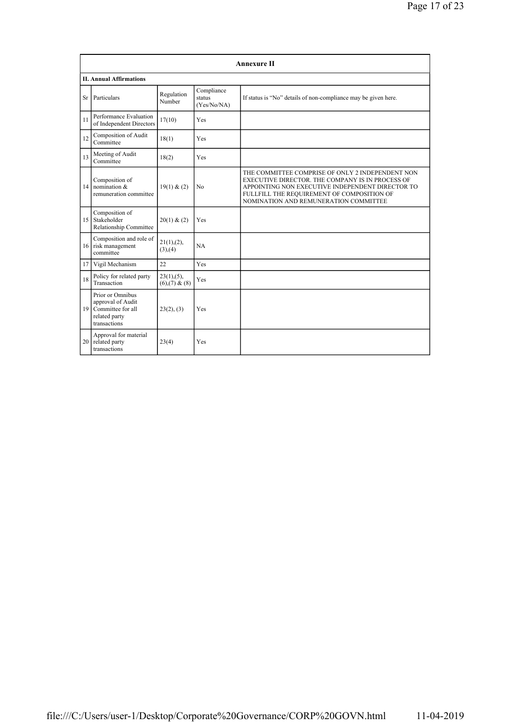|    | <b>Annexure II</b>                                                                             |                                      |                                     |                                                                                                                                                                                                                                                 |  |
|----|------------------------------------------------------------------------------------------------|--------------------------------------|-------------------------------------|-------------------------------------------------------------------------------------------------------------------------------------------------------------------------------------------------------------------------------------------------|--|
|    | <b>II. Annual Affirmations</b>                                                                 |                                      |                                     |                                                                                                                                                                                                                                                 |  |
| Sr | Particulars                                                                                    | Regulation<br>Number                 | Compliance<br>status<br>(Yes/No/NA) | If status is "No" details of non-compliance may be given here.                                                                                                                                                                                  |  |
| 11 | Performance Evaluation<br>of Independent Directors                                             | 17(10)                               | Yes                                 |                                                                                                                                                                                                                                                 |  |
| 12 | Composition of Audit<br>Committee                                                              | 18(1)                                | Yes                                 |                                                                                                                                                                                                                                                 |  |
| 13 | Meeting of Audit<br>Committee                                                                  | 18(2)                                | <b>Yes</b>                          |                                                                                                                                                                                                                                                 |  |
| 14 | Composition of<br>nomination &<br>remuneration committee                                       | 19(1) & (2)                          | No                                  | THE COMMITTEE COMPRISE OF ONLY 2 INDEPENDENT NON<br>EXECUTIVE DIRECTOR. THE COMPANY IS IN PROCESS OF<br>APPOINTING NON EXECUTIVE INDEPENDENT DIRECTOR TO<br>FULLFILL THE REQUIREMENT OF COMPOSITION OF<br>NOMINATION AND REMUNERATION COMMITTEE |  |
| 15 | Composition of<br>Stakeholder<br>Relationship Committee                                        | 20(1) & (2)                          | Yes                                 |                                                                                                                                                                                                                                                 |  |
|    | Composition and role of<br>16 risk management<br>committee                                     | 21(1), (2),<br>(3), (4)              | NA.                                 |                                                                                                                                                                                                                                                 |  |
| 17 | Vigil Mechanism                                                                                | 22                                   | Yes                                 |                                                                                                                                                                                                                                                 |  |
| 18 | Policy for related party<br>Transaction                                                        | 23(1), (5),<br>$(6)$ , $(7)$ & $(8)$ | Yes                                 |                                                                                                                                                                                                                                                 |  |
|    | Prior or Omnibus<br>approval of Audit<br>19 Committee for all<br>related party<br>transactions | 23(2), (3)                           | <b>Yes</b>                          |                                                                                                                                                                                                                                                 |  |
| 20 | Approval for material<br>related party<br>transactions                                         | 23(4)                                | Yes                                 |                                                                                                                                                                                                                                                 |  |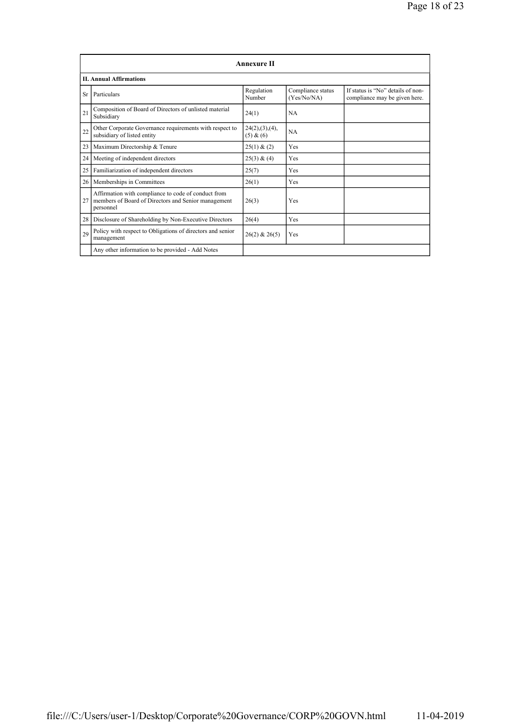|    | <b>Annexure II</b>                                                                                                      |                               |                                  |                                                                    |  |
|----|-------------------------------------------------------------------------------------------------------------------------|-------------------------------|----------------------------------|--------------------------------------------------------------------|--|
|    | <b>II. Annual Affirmations</b>                                                                                          |                               |                                  |                                                                    |  |
| Sr | Particulars                                                                                                             | Regulation<br>Number          | Compliance status<br>(Yes/No/NA) | If status is "No" details of non-<br>compliance may be given here. |  |
| 21 | Composition of Board of Directors of unlisted material<br>Subsidiary                                                    | 24(1)                         | <b>NA</b>                        |                                                                    |  |
| 22 | Other Corporate Governance requirements with respect to<br>subsidiary of listed entity                                  | 24(2), (3), (4),<br>(5) & (6) | <b>NA</b>                        |                                                                    |  |
| 23 | Maximum Directorship & Tenure                                                                                           | 25(1) & (2)                   | Yes                              |                                                                    |  |
| 24 | Meeting of independent directors                                                                                        | 25(3) & (4)                   | Yes                              |                                                                    |  |
| 25 | Familiarization of independent directors                                                                                | 25(7)                         | Yes                              |                                                                    |  |
| 26 | Memberships in Committees                                                                                               | 26(1)                         | Yes                              |                                                                    |  |
| 27 | Affirmation with compliance to code of conduct from<br>members of Board of Directors and Senior management<br>personnel | 26(3)                         | Yes                              |                                                                    |  |
| 28 | Disclosure of Shareholding by Non-Executive Directors                                                                   | 26(4)                         | Yes                              |                                                                    |  |
| 29 | Policy with respect to Obligations of directors and senior<br>management                                                | $26(2)$ & $26(5)$             | Yes                              |                                                                    |  |
|    | Any other information to be provided - Add Notes                                                                        |                               |                                  |                                                                    |  |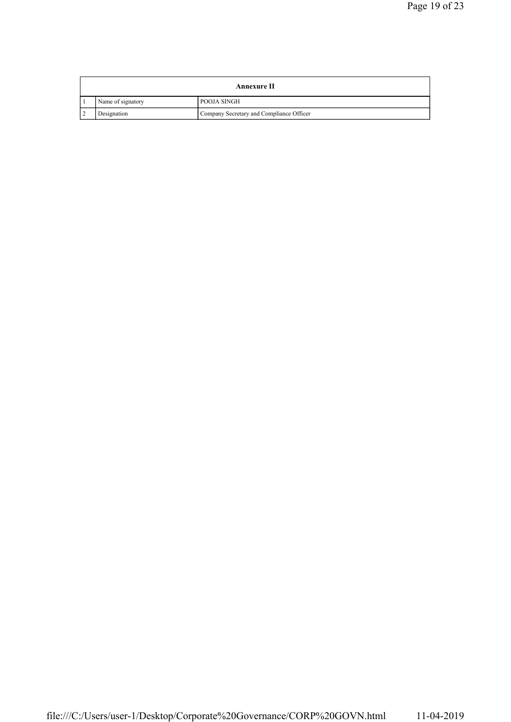| Annexure II       |                                          |  |
|-------------------|------------------------------------------|--|
| Name of signatory | POOJA SINGH                              |  |
| Designation       | Company Secretary and Compliance Officer |  |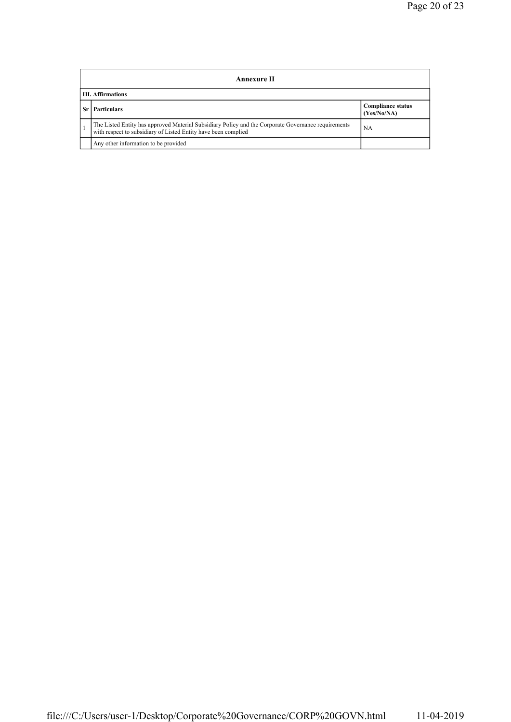|    | Annexure II                                                                                                                                                           |                                         |  |  |
|----|-----------------------------------------------------------------------------------------------------------------------------------------------------------------------|-----------------------------------------|--|--|
|    | <b>III.</b> Affirmations                                                                                                                                              |                                         |  |  |
| Sr | <b>Particulars</b>                                                                                                                                                    | <b>Compliance status</b><br>(Yes/No/NA) |  |  |
|    | The Listed Entity has approved Material Subsidiary Policy and the Corporate Governance requirements<br>with respect to subsidiary of Listed Entity have been complied | NA                                      |  |  |
|    | Any other information to be provided                                                                                                                                  |                                         |  |  |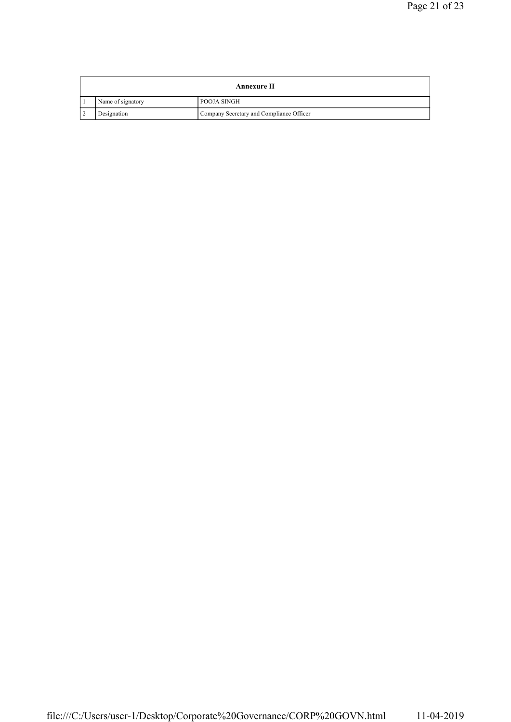| <b>Annexure II</b> |                                          |  |
|--------------------|------------------------------------------|--|
| Name of signatory  | POOJA SINGH                              |  |
| Designation        | Company Secretary and Compliance Officer |  |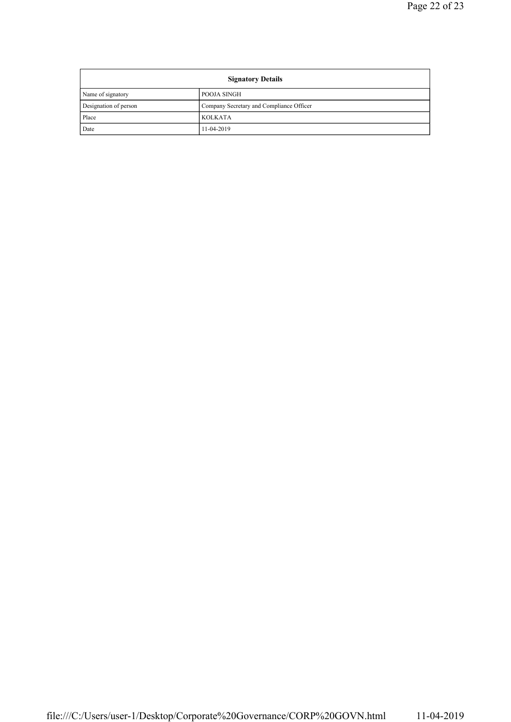| <b>Signatory Details</b> |                                          |  |
|--------------------------|------------------------------------------|--|
| Name of signatory        | POOJA SINGH                              |  |
| Designation of person    | Company Secretary and Compliance Officer |  |
| Place                    | <b>KOLKATA</b>                           |  |
| Date                     | 11-04-2019                               |  |